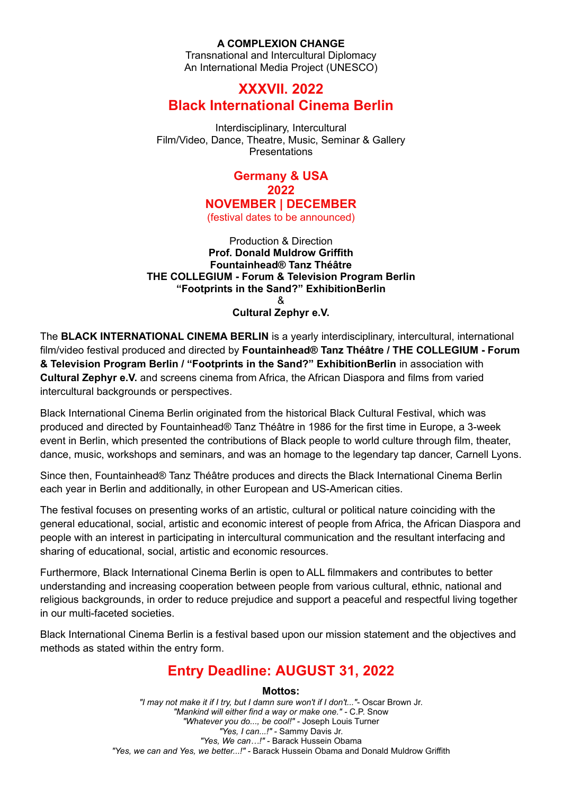# **A COMPLEXION CHANGE**

Transnational and Intercultural Diplomacy An International Media Project (UNESCO)

# **XXXVII. 2022 Black International Cinema Berlin**

Interdisciplinary, Intercultural Film/Video, Dance, Theatre, Music, Seminar & Gallery Presentations

# **Germany & USA 2022 NOVEMBER | DECEMBER**

(festival dates to be announced)

Production & Direction **Prof. Donald Muldrow Griffith Fountainhead® Tanz Théâtre THE COLLEGIUM - Forum & Television Program Berlin "Footprints in the Sand?" ExhibitionBerlin** & **Cultural Zephyr e.V.**

The **BLACK INTERNATIONAL CINEMA BERLIN** is a yearly interdisciplinary, intercultural, international film/video festival produced and directed by **Fountainhead® Tanz Théâtre / THE COLLEGIUM - Forum & Television Program Berlin / "Footprints in the Sand?" ExhibitionBerlin** in association with **Cultural Zephyr e.V.** and screens cinema from Africa, the African Diaspora and films from varied intercultural backgrounds or perspectives.

Black International Cinema Berlin originated from the historical Black Cultural Festival, which was produced and directed by Fountainhead® Tanz Théâtre in 1986 for the first time in Europe, a 3-week event in Berlin, which presented the contributions of Black people to world culture through film, theater, dance, music, workshops and seminars, and was an homage to the legendary tap dancer, Carnell Lyons.

Since then, Fountainhead® Tanz Théâtre produces and directs the Black International Cinema Berlin each year in Berlin and additionally, in other European and US-American cities.

The festival focuses on presenting works of an artistic, cultural or political nature coinciding with the general educational, social, artistic and economic interest of people from Africa, the African Diaspora and people with an interest in participating in intercultural communication and the resultant interfacing and sharing of educational, social, artistic and economic resources.

Furthermore, Black International Cinema Berlin is open to ALL filmmakers and contributes to better understanding and increasing cooperation between people from various cultural, ethnic, national and religious backgrounds, in order to reduce prejudice and support a peaceful and respectful living together in our multi-faceted societies.

Black International Cinema Berlin is a festival based upon our mission statement and the objectives and methods as stated within the entry form.

# **Entry Deadline: AUGUST 31, 2022**

**Mottos:**

*"I may not make it if I try, but I damn sure won't if I don't..."*- Oscar Brown Jr. *"Mankind will either find a way or make one." -* C.P. Snow *"Whatever you do..., be cool!" -* Joseph Louis Turner *"Yes, I can...!" -* Sammy Davis Jr. *"Yes, We can…!" -* Barack Hussein Obama *"Yes, we can and Yes, we better...!" -* Barack Hussein Obama and Donald Muldrow Griffith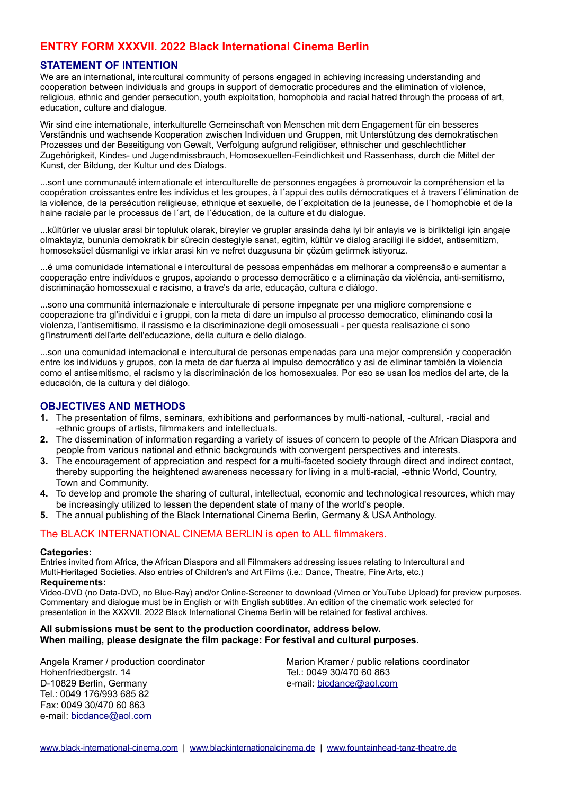# **ENTRY FORM XXXVII. 2022 Black International Cinema Berlin**

### **STATEMENT OF INTENTION**

We are an international, intercultural community of persons engaged in achieving increasing understanding and cooperation between individuals and groups in support of democratic procedures and the elimination of violence, religious, ethnic and gender persecution, youth exploitation, homophobia and racial hatred through the process of art, education, culture and dialogue.

Wir sind eine internationale, interkulturelle Gemeinschaft von Menschen mit dem Engagement für ein besseres Verständnis und wachsende Kooperation zwischen Individuen und Gruppen, mit Unterstützung des demokratischen Prozesses und der Beseitigung von Gewalt, Verfolgung aufgrund religiöser, ethnischer und geschlechtlicher Zugehörigkeit, Kindes- und Jugendmissbrauch, Homosexuellen-Feindlichkeit und Rassenhass, durch die Mittel der Kunst, der Bildung, der Kultur und des Dialogs.

...sont une communauté internationale et interculturelle de personnes engagées à promouvoir la compréhension et la coopération croissantes entre les individus et les groupes, à l´appui des outils démocratiques et à travers l´élimination de la violence, de la persécution religieuse, ethnique et sexuelle, de l´exploitation de la jeunesse, de l´homophobie et de la haine raciale par le processus de l´art, de l´éducation, de la culture et du dialogue.

...kültürler ve uluslar arasi bir topluluk olarak, bireyler ve gruplar arasinda daha iyi bir anlayis ve is birlikteligi için angaje olmaktayiz, bununla demokratik bir sürecin destegiyle sanat, egitim, kültür ve dialog araciligi ile siddet, antisemitizm, homoseksüel düsmanligi ve irklar arasi kin ve nefret duzgusuna bir çözüm getirmek istiyoruz.

...é uma comunidade international e intercultural de pessoas empenhádas em melhorar a compreensão e aumentar a cooperação entre indivíduos e grupos, apoiando o processo democrãtico e a eliminação da violência, anti-semitismo, discriminação homossexual e racismo, a trave's da arte, educação, cultura e diálogo.

...sono una communità internazionale e interculturale di persone impegnate per una migliore comprensione e cooperazione tra gl'individui e i gruppi, con la meta di dare un impulso al processo democratico, eliminando cosi la violenza, l'antisemitismo, il rassismo e la discriminazione degli omosessuali - per questa realisazione ci sono gl'instrumenti dell'arte dell'educazione, della cultura e dello dialogo.

...son una comunidad internacional e intercultural de personas empenadas para una mejor comprensión y cooperación entre los individuos y grupos, con la meta de dar fuerza al impulso democrático y asi de eliminar también la violencia como el antisemitismo, el racismo y la discriminación de los homosexuales. Por eso se usan los medios del arte, de la educación, de la cultura y del diálogo.

## **OBJECTIVES AND METHODS**

- **1.** The presentation of films, seminars, exhibitions and performances by multi-national, -cultural, -racial and -ethnic groups of artists, filmmakers and intellectuals.
- **2.** The dissemination of information regarding a variety of issues of concern to people of the African Diaspora and people from various national and ethnic backgrounds with convergent perspectives and interests.
- **3.** The encouragement of appreciation and respect for a multi-faceted society through direct and indirect contact, thereby supporting the heightened awareness necessary for living in a multi-racial, -ethnic World, Country, Town and Community.
- **4.** To develop and promote the sharing of cultural, intellectual, economic and technological resources, which may be increasingly utilized to lessen the dependent state of many of the world's people.
- **5.** The annual publishing of the Black International Cinema Berlin, Germany & USA Anthology.

### The BLACK INTERNATIONAL CINEMA BERLIN is open to ALL filmmakers.

#### **Categories:**

Entries invited from Africa, the African Diaspora and all Filmmakers addressing issues relating to Intercultural and Multi-Heritaged Societies. Also entries of Children's and Art Films (i.e.: Dance, Theatre, Fine Arts, etc.) **Requirements:**

Video-DVD (no Data-DVD, no Blue-Ray) and/or Online-Screener to download (Vimeo or YouTube Upload) for preview purposes. Commentary and dialogue must be in English or with English subtitles. An edition of the cinematic work selected for presentation in the XXXVII. 2022 Black International Cinema Berlin will be retained for festival archives.

#### **All submissions must be sent to the production coordinator, address below. When mailing, please designate the film package: For festival and cultural purposes.**

Angela Kramer / production coordinator Hohenfriedbergstr. 14 D-10829 Berlin, Germany Tel.: 0049 176/993 685 82 Fax: 0049 30/470 60 863 e-mail: [bicdance@aol.co](mailto:bicdance@aol.com)[m](mailto:bicdance@aol.com)

Marion Kramer / public relations coordinator Tel.: 0049 30/470 60 863 e-mail: [bicdance@aol.com](mailto:bicdance@aol.com)